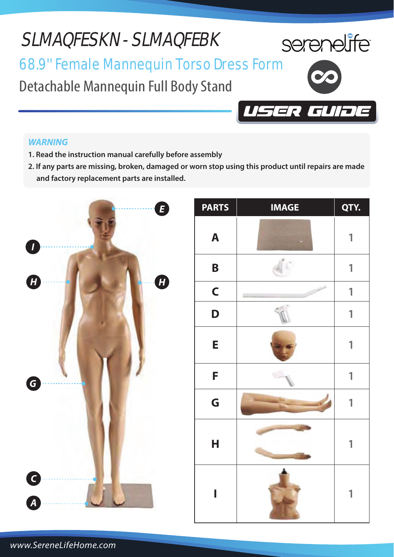# SLMAQFESKN - SLMAQFEBK



ER GL

# 68.9'' Female Mannequin Torso Dress Form

Detachable Mannequin Full Body Stand

### *WARNING*

- **1. Read the instruction manual carefully before assembly**
- **2. If any parts are missing, broken, damaged or worn stop using this product until repairs are made and factory replacement parts are installed.**



| <b>PARTS</b> | <b>IMAGE</b> | QTY. |
|--------------|--------------|------|
| A            |              | 1    |
| $\mathbf B$  |              | 1    |
| $\mathsf{C}$ |              | 1    |
| D            | ğ,           | 1    |
| E            |              | 1    |
| F            |              | 1    |
| G            |              | 1    |
| H            |              | 1    |
| I            |              | 1    |